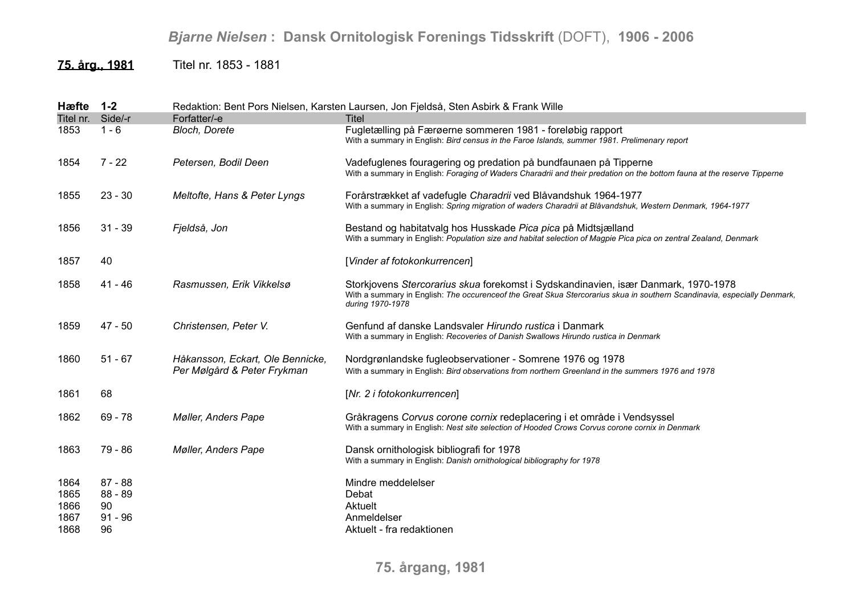## *Bjarne Nielsen* **: Dansk Ornitologisk Forenings Tidsskrift** (DOFT), **1906 - 2006**

**75. årg., 1981** Titel nr. 1853 - 1881

| Hæfte                                | $1 - 2$                                       |                                                                 | Redaktion: Bent Pors Nielsen, Karsten Laursen, Jon Fjeldså, Sten Asbirk & Frank Wille                                                                                                                                              |
|--------------------------------------|-----------------------------------------------|-----------------------------------------------------------------|------------------------------------------------------------------------------------------------------------------------------------------------------------------------------------------------------------------------------------|
| Titel nr. Side/-r                    |                                               | Forfatter/-e                                                    | <b>Titel</b>                                                                                                                                                                                                                       |
| 1853                                 | $1 - 6$                                       | Bloch, Dorete                                                   | Fugletælling på Færøerne sommeren 1981 - foreløbig rapport<br>With a summary in English: Bird census in the Faroe Islands, summer 1981. Prelimenary report                                                                         |
| 1854                                 | $7 - 22$                                      | Petersen, Bodil Deen                                            | Vadefuglenes fouragering og predation på bundfaunaen på Tipperne<br>With a summary in English: Foraging of Waders Charadrii and their predation on the bottom fauna at the reserve Tipperne                                        |
| 1855                                 | $23 - 30$                                     | Meltofte, Hans & Peter Lyngs                                    | Forårstrækket af vadefugle Charadrii ved Blåvandshuk 1964-1977<br>With a summary in English: Spring migration of waders Charadrii at Blåvandshuk, Western Denmark, 1964-1977                                                       |
| 1856                                 | $31 - 39$                                     | Fjeldså, Jon                                                    | Bestand og habitatvalg hos Husskade Pica pica på Midtsjælland<br>With a summary in English: Population size and habitat selection of Magpie Pica pica on zentral Zealand, Denmark                                                  |
| 1857                                 | 40                                            |                                                                 | [Vinder af fotokonkurrencen]                                                                                                                                                                                                       |
| 1858                                 | 41 - 46                                       | Rasmussen, Erik Vikkelsø                                        | Storkjovens Stercorarius skua forekomst i Sydskandinavien, især Danmark, 1970-1978<br>With a summary in English: The occurenceof the Great Skua Stercorarius skua in southern Scandinavia, especially Denmark,<br>during 1970-1978 |
| 1859                                 | $47 - 50$                                     | Christensen, Peter V.                                           | Genfund af danske Landsvaler Hirundo rustica i Danmark<br>With a summary in English: Recoveries of Danish Swallows Hirundo rustica in Denmark                                                                                      |
| 1860                                 | $51 - 67$                                     | Håkansson, Eckart, Ole Bennicke,<br>Per Mølgård & Peter Frykman | Nordgrønlandske fugleobservationer - Somrene 1976 og 1978<br>With a summary in English: Bird observations from northern Greenland in the summers 1976 and 1978                                                                     |
| 1861                                 | 68                                            |                                                                 | [Nr. 2 i fotokonkurrencen]                                                                                                                                                                                                         |
| 1862                                 | $69 - 78$                                     | <b>Møller, Anders Pape</b>                                      | Gråkragens Corvus corone cornix redeplacering i et område i Vendsyssel<br>With a summary in English: Nest site selection of Hooded Crows Corvus corone cornix in Denmark                                                           |
| 1863                                 | 79 - 86                                       | <b>Møller, Anders Pape</b>                                      | Dansk ornithologisk bibliografi for 1978<br>With a summary in English: Danish ornithological bibliography for 1978                                                                                                                 |
| 1864<br>1865<br>1866<br>1867<br>1868 | $87 - 88$<br>88 - 89<br>90<br>$91 - 96$<br>96 |                                                                 | Mindre meddelelser<br>Debat<br>Aktuelt<br>Anmeldelser<br>Aktuelt - fra redaktionen                                                                                                                                                 |

**75. årgang, 1981**